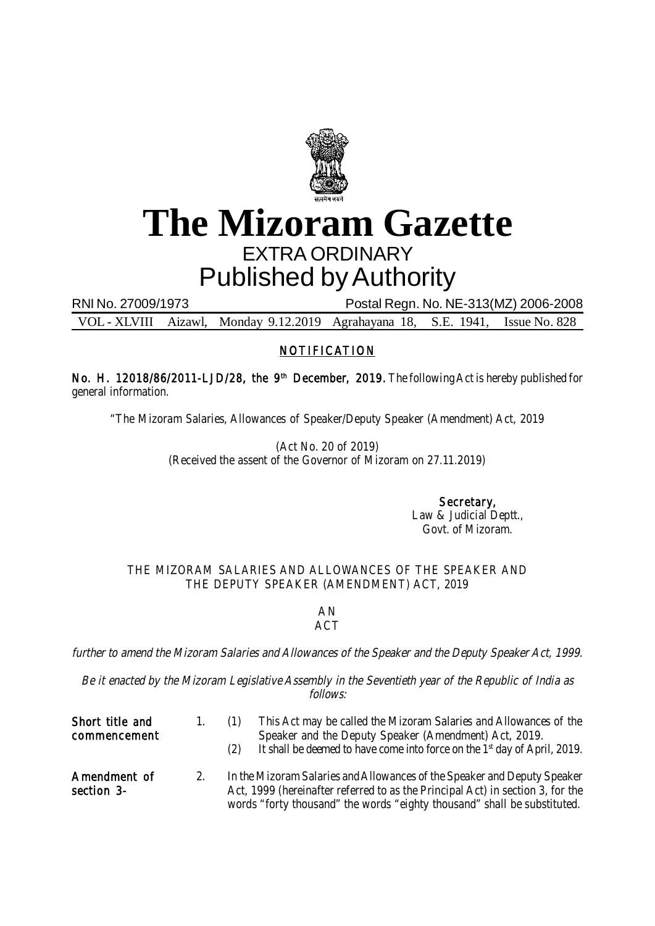

## **The Mizoram Gazette** EXTRA ORDINARY Published by Authority

RNI No. 27009/1973 Postal Regn. No. NE-313(MZ) 2006-2008

VOL - XLVIII Aizawl, Monday 9.12.2019 Agrahayana 18, S.E. 1941, Issue No. 828

## NOTIFICATION

No. H. 12018/86/2011-LJD/28, the 9<sup>th</sup> December, 2019. The following Act is hereby published for general information.

"The Mizoram Salaries, Allowances of Speaker/Deputy Speaker (Amendment) Act, 2019

(Act No. 20 of 2019) (Received the assent of the Governor of Mizoram on 27.11.2019)

> Secretary, Law & Judicial Deptt., Govt. of Mizoram.

## THE MIZORAM SALARIES AND ALLOWANCES OF THE SPEAKER AND THE DEPUTY SPEAKER (AMENDMENT) ACT, 2019

## AN **ACT**

further to amend the Mizoram Salaries and Allowances of the Speaker and the Deputy Speaker Act, 1999.

Be it enacted by the Mizoram Legislative Assembly in the Seventieth year of the Republic of India as follows:

| Short title and<br>commencement | $\mathbf{1}$ . | This Act may be called the Mizoram Salaries and Allowances of the<br>Speaker and the Deputy Speaker (Amendment) Act, 2019.<br>It shall be deemed to have come into force on the 1 <sup>st</sup> day of April, 2019.<br>(2)             |
|---------------------------------|----------------|----------------------------------------------------------------------------------------------------------------------------------------------------------------------------------------------------------------------------------------|
| Amendment of<br>section 3-      |                | In the Mizoram Salaries and Allowances of the Speaker and Deputy Speaker<br>Act, 1999 (hereinafter referred to as the Principal Act) in section 3, for the<br>words "forty thousand" the words "eighty thousand" shall be substituted. |